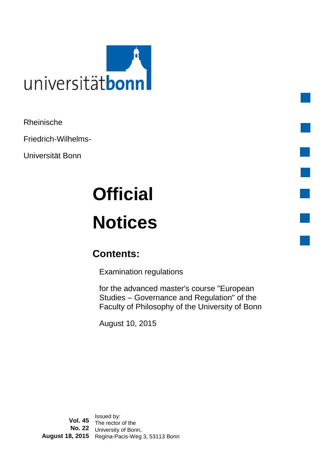

Rheinische

Friedrich-Wilhelms-

Universität Bonn

# **Official Notices**

# **Contents:**

Examination regulations

for the advanced master's course "European Studies – Governance and Regulation" of the Faculty of Philosophy of the University of Bonn August 10, 2015

**Vol. 45** Issued by:<br>**Vol. 45** The rector of the **No. 22** University of Bonn, **August 18, 2015** Regina-Pacis-Weg 3, 53113 Bonn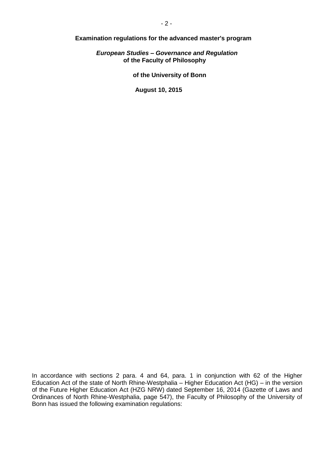**Examination regulations for the advanced master's program**

*European Studies – Governance and Regulation*  **of the Faculty of Philosophy**

**of the University of Bonn**

**August 10, 2015**

In accordance with sections 2 para. 4 and 64, para. 1 in conjunction with 62 of the Higher Education Act of the state of North Rhine-Westphalia – Higher Education Act (HG) – in the version of the Future Higher Education Act (HZG NRW) dated September 16, 2014 (Gazette of Laws and Ordinances of North Rhine-Westphalia, page 547), the Faculty of Philosophy of the University of Bonn has issued the following examination regulations: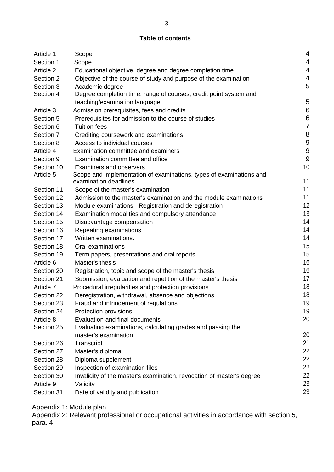# **Table of contents**

| Article 1  | Scope                                                                 | 4                |
|------------|-----------------------------------------------------------------------|------------------|
| Section 1  | Scope                                                                 | 4                |
| Article 2  | Educational objective, degree and degree completion time              | 4                |
| Section 2  | Objective of the course of study and purpose of the examination       | 4                |
| Section 3  | Academic degree                                                       | 5                |
| Section 4  | Degree completion time, range of courses, credit point system and     |                  |
|            | teaching/examination language                                         | 5                |
| Article 3  | Admission prerequisites, fees and credits                             | 6                |
| Section 5  | Prerequisites for admission to the course of studies                  | $\boldsymbol{6}$ |
| Section 6  | <b>Tuition fees</b>                                                   | $\overline{7}$   |
| Section 7  | Crediting coursework and examinations                                 | 8                |
| Section 8  | Access to individual courses                                          | 9                |
| Article 4  | Examination committee and examiners                                   | 9                |
| Section 9  | Examination committee and office                                      | 9                |
| Section 10 | <b>Examiners and observers</b>                                        | 10               |
| Article 5  | Scope and implementation of examinations, types of examinations and   |                  |
|            | examination deadlines                                                 | 11               |
| Section 11 | Scope of the master's examination                                     | 11               |
| Section 12 | Admission to the master's examination and the module examinations     | 11               |
| Section 13 | Module examinations - Registration and deregistration                 | 12               |
| Section 14 | Examination modalities and compulsory attendance                      | 13               |
| Section 15 | Disadvantage compensation                                             | 14               |
| Section 16 | Repeating examinations                                                | 14               |
| Section 17 | Written examinations.                                                 | 14               |
| Section 18 | Oral examinations                                                     | 15               |
| Section 19 | Term papers, presentations and oral reports                           | 15               |
| Article 6  | Master's thesis                                                       | 16               |
| Section 20 | Registration, topic and scope of the master's thesis                  | 16               |
| Section 21 | Submission, evaluation and repetition of the master's thesis          | 17               |
| Article 7  | Procedural irregularities and protection provisions                   | 18               |
| Section 22 | Deregistration, withdrawal, absence and objections                    | 18               |
| Section 23 | Fraud and infringement of regulations                                 | 19               |
| Section 24 | Protection provisions                                                 | 19               |
| Article 8  | Evaluation and final documents                                        | 20               |
| Section 25 | Evaluating examinations, calculating grades and passing the           |                  |
|            | master's examination                                                  | 20               |
| Section 26 | Transcript                                                            | 21               |
| Section 27 | Master's diploma                                                      | 22               |
| Section 28 | Diploma supplement                                                    | 22               |
| Section 29 | Inspection of examination files                                       | 22               |
| Section 30 | Invalidity of the master's examination, revocation of master's degree | 22               |
| Article 9  | Validity                                                              | 23               |
| Section 31 | Date of validity and publication                                      | 23               |

Appendix 1: Module plan

Appendix 2: Relevant professional or occupational activities in accordance with section 5, para. 4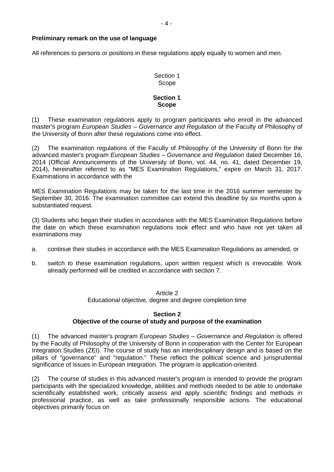#### <span id="page-3-0"></span>**Preliminary remark on the use of language**

All references to persons or positions in these regulations apply equally to women and men.

## Section 1 Scope

#### **Section 1 Scope**

(1) These examination regulations apply to program participants who enroll in the advanced master's program *European Studies – Governance and Regulation* of the Faculty of Philosophy of the University of Bonn after these regulations come into effect.

(2) The examination regulations of the Faculty of Philosophy of the University of Bonn for the advanced master's program *European Studies – Governance and Regulation* dated December 16, 2014 (Official Announcements of the University of Bonn, vol. 44, no. 41, dated December 19, 2014), hereinafter referred to as "MES Examination Regulations," expire on March 31, 2017. Examinations in accordance with the

MES Examination Regulations may be taken for the last time in the 2016 summer semester by September 30, 2016. The examination committee can extend this deadline by six months upon a substantiated request.

(3) Students who began their studies in accordance with the MES Examination Regulations before the date on which these examination regulations took effect and who have not yet taken all examinations may

- a. continue their studies in accordance with the MES Examination Regulations as amended, or
- b. switch to these examination regulations, upon written request which is irrevocable. Work already performed will be credited in accordance with section 7.

#### Article 2

Educational objective, degree and degree completion time

### **Section 2 Objective of the course of study and purpose of the examination**

(1) The advanced master's program *European Studies – Governance and Regulation* is offered by the Faculty of Philosophy of the University of Bonn in cooperation with the Center for European Integration Studies (ZEI). The course of study has an interdisciplinary design and is based on the pillars of "governance" and "regulation." These reflect the political science and jurisprudential significance of issues in European integration. The program is application-oriented.

(2) The course of studies in this advanced master's program is intended to provide the program participants with the specialized knowledge, abilities and methods needed to be able to undertake scientifically established work, critically assess and apply scientific findings and methods in professional practice, as well as take professionally responsible actions. The educational objectives primarily focus on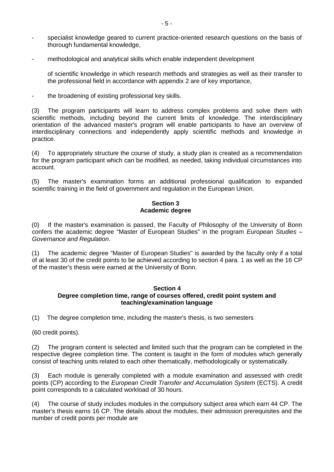- specialist knowledge geared to current practice-oriented research questions on the basis of thorough fundamental knowledge,
- methodological and analytical skills which enable independent development

of scientific knowledge in which research methods and strategies as well as their transfer to the professional field in accordance with appendix 2 are of key importance,

- the broadening of existing professional key skills.

(3) The program participants will learn to address complex problems and solve them with scientific methods, including beyond the current limits of knowledge. The interdisciplinary orientation of the advanced master's program will enable participants to have an overview of interdisciplinary connections and independently apply scientific methods and knowledge in practice.

(4) To appropriately structure the course of study, a study plan is created as a recommendation for the program participant which can be modified, as needed, taking individual circumstances into account.

(5) The master's examination forms an additional professional qualification to expanded scientific training in the field of government and regulation in the European Union.

#### **Section 3 Academic degree**

(0) If the master's examination is passed, the Faculty of Philosophy of the University of Bonn confers the academic degree "Master of European Studies" in the program *European Studies – Governance and Regulation*.

(1) The academic degree "Master of European Studies" is awarded by the faculty only if a total of at least 30 of the credit points to be achieved according to section 4 para. 1 as well as the 16 CP of the master's thesis were earned at the University of Bonn.

#### **Section 4 Degree completion time, range of courses offered, credit point system and teaching/examination language**

(1) The degree completion time, including the master's thesis, is two semesters

(60 credit points).

(2) The program content is selected and limited such that the program can be completed in the respective degree completion time. The content is taught in the form of modules which generally consist of teaching units related to each other thematically, methodologically or systematically.

(3) Each module is generally completed with a module examination and assessed with credit points (CP) according to the *European Credit Transfer and Accumulation System* (ECTS). A credit point corresponds to a calculated workload of 30 hours.

(4) The course of study includes modules in the compulsory subject area which earn 44 CP. The master's thesis earns 16 CP. The details about the modules, their admission prerequisites and the number of credit points per module are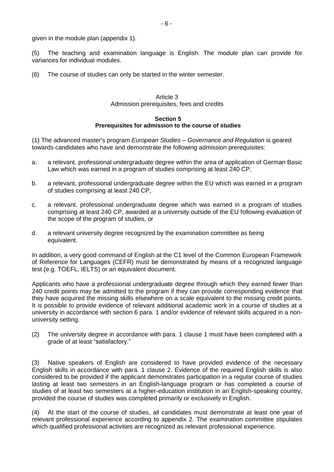given in the module plan (appendix 1).

(5) The teaching and examination language is English. The module plan can provide for variances for individual modules.

(6) The course of studies can only be started in the winter semester.

#### Article 3 Admission prerequisites, fees and credits

#### **Section 5 Prerequisites for admission to the course of studies**

(1) The advanced master's program *European Studies – Governance and Regulation* is geared towards candidates who have and demonstrate the following admission prerequisites:

- a. a relevant, professional undergraduate degree within the area of application of German Basic Law which was earned in a program of studies comprising at least 240 CP,
- b. a relevant, professional undergraduate degree within the EU which was earned in a program of studies comprising at least 240 CP,
- c. a relevant, professional undergraduate degree which was earned in a program of studies comprising at least 240 CP, awarded at a university outside of the EU following evaluation of the scope of the program of studies, or
- d. a relevant university degree recognized by the examination committee as being equivalent.

In addition, a very good command of English at the C1 level of the Common European Framework of Reference for Languages (CEFR) must be demonstrated by means of a recognized language test (e.g. TOEFL, IELTS) or an equivalent document.

Applicants who have a professional undergraduate degree through which they earned fewer than 240 credit points may be admitted to the program if they can provide corresponding evidence that they have acquired the missing skills elsewhere on a scale equivalent to the missing credit points. It is possible to provide evidence of relevant additional academic work in a course of studies at a university in accordance with section 6 para. 1 and/or evidence of relevant skills acquired in a nonuniversity setting.

(2) The university degree in accordance with para. 1 clause 1 must have been completed with a grade of at least "satisfactory."

(3) Native speakers of English are considered to have provided evidence of the necessary English skills in accordance with para. 1 clause 2. Evidence of the required English skills is also considered to be provided if the applicant demonstrates participation in a regular course of studies lasting at least two semesters in an English-language program or has completed a course of studies of at least two semesters at a higher-education institution in an English-speaking country, provided the course of studies was completed primarily or exclusively in English.

(4) At the start of the course of studies, all candidates must demonstrate at least one year of relevant professional experience according to appendix 2. The examination committee stipulates which qualified professional activities are recognized as relevant professional experience.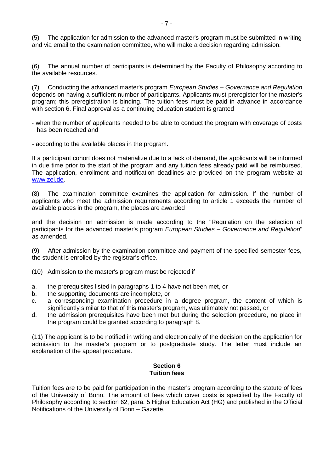(5) The application for admission to the advanced master's program must be submitted in writing and via email to the examination committee, who will make a decision regarding admission.

(6) The annual number of participants is determined by the Faculty of Philosophy according to the available resources.

(7) Conducting the advanced master's program *European Studies – Governance and Regulation*  depends on having a sufficient number of participants. Applicants must preregister for the master's program; this preregistration is binding. The tuition fees must be paid in advance in accordance with section 6. Final approval as a continuing education student is granted

- when the number of applicants needed to be able to conduct the program with coverage of costs has been reached and
- according to the available places in the program.

If a participant cohort does not materialize due to a lack of demand, the applicants will be informed in due time prior to the start of the program and any tuition fees already paid will be reimbursed. The application, enrollment and notification deadlines are provided on the program website at www.zei.de.

(8) The examination committee examines the application for admission. If the number of applicants who meet the admission requirements according to article 1 exceeds the number of available places in the program, the places are awarded

and the decision on admission is made according to the "Regulation on the selection of participants for the advanced master's program *European Studies – Governance and Regulation*" as amended.

(9) After admission by the examination committee and payment of the specified semester fees, the student is enrolled by the registrar's office.

- (10) Admission to the master's program must be rejected if
- a. the prerequisites listed in paragraphs 1 to 4 have not been met, or
- b. the supporting documents are incomplete, or
- c. a corresponding examination procedure in a degree program, the content of which is significantly similar to that of this master's program, was ultimately not passed, or
- d. the admission prerequisites have been met but during the selection procedure, no place in the program could be granted according to paragraph 8.

(11) The applicant is to be notified in writing and electronically of the decision on the application for admission to the master's program or to postgraduate study. The letter must include an explanation of the appeal procedure.

#### **Section 6 Tuition fees**

Tuition fees are to be paid for participation in the master's program according to the statute of fees of the University of Bonn. The amount of fees which cover costs is specified by the Faculty of Philosophy according to section 62, para. 5 Higher Education Act (HG) and published in the Official Notifications of the University of Bonn – Gazette.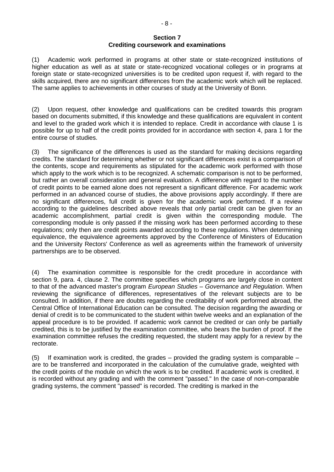#### **Section 7 Crediting coursework and examinations**

(1) Academic work performed in programs at other state or state-recognized institutions of higher education as well as at state or state-recognized vocational colleges or in programs at foreign state or state-recognized universities is to be credited upon request if, with regard to the skills acquired, there are no significant differences from the academic work which will be replaced. The same applies to achievements in other courses of study at the University of Bonn.

(2) Upon request, other knowledge and qualifications can be credited towards this program based on documents submitted, if this knowledge and these qualifications are equivalent in content and level to the graded work which it is intended to replace. Credit in accordance with clause 1 is possible for up to half of the credit points provided for in accordance with section 4, para 1 for the entire course of studies.

(3) The significance of the differences is used as the standard for making decisions regarding credits. The standard for determining whether or not significant differences exist is a comparison of the contents, scope and requirements as stipulated for the academic work performed with those which apply to the work which is to be recognized. A schematic comparison is not to be performed, but rather an overall consideration and general evaluation. A difference with regard to the number of credit points to be earned alone does not represent a significant difference. For academic work performed in an advanced course of studies, the above provisions apply accordingly. If there are no significant differences, full credit is given for the academic work performed. If a review according to the guidelines described above reveals that only partial credit can be given for an academic accomplishment, partial credit is given within the corresponding module. The corresponding module is only passed if the missing work has been performed according to these regulations; only then are credit points awarded according to these regulations. When determining equivalence, the equivalence agreements approved by the Conference of Ministers of Education and the University Rectors' Conference as well as agreements within the framework of university partnerships are to be observed.

(4) The examination committee is responsible for the credit procedure in accordance with section 9, para. 4, clause 2. The committee specifies which programs are largely close in content to that of the advanced master's program *European Studies – Governance and Regulation*. When reviewing the significance of differences, representatives of the relevant subjects are to be consulted. In addition, if there are doubts regarding the creditability of work performed abroad, the Central Office of International Education can be consulted. The decision regarding the awarding or denial of credit is to be communicated to the student within twelve weeks and an explanation of the appeal procedure is to be provided. If academic work cannot be credited or can only be partially credited, this is to be justified by the examination committee, who bears the burden of proof. If the examination committee refuses the crediting requested, the student may apply for a review by the rectorate.

(5) If examination work is credited, the grades – provided the grading system is comparable – are to be transferred and incorporated in the calculation of the cumulative grade, weighted with the credit points of the module on which the work is to be credited. If academic work is credited, it is recorded without any grading and with the comment "passed." In the case of non-comparable grading systems, the comment "passed" is recorded. The crediting is marked in the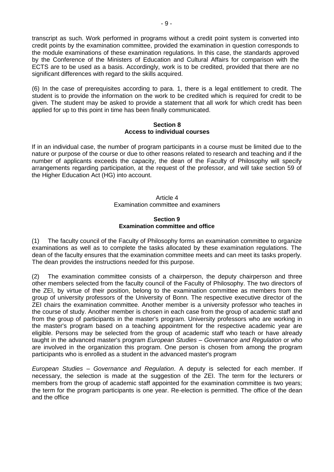transcript as such. Work performed in programs without a credit point system is converted into credit points by the examination committee, provided the examination in question corresponds to the module examinations of these examination regulations. In this case, the standards approved by the Conference of the Ministers of Education and Cultural Affairs for comparison with the ECTS are to be used as a basis. Accordingly, work is to be credited, provided that there are no significant differences with regard to the skills acquired.

(6) In the case of prerequisites according to para. 1, there is a legal entitlement to credit. The student is to provide the information on the work to be credited which is required for credit to be given. The student may be asked to provide a statement that all work for which credit has been applied for up to this point in time has been finally communicated.

#### **Section 8 Access to individual courses**

If in an individual case, the number of program participants in a course must be limited due to the nature or purpose of the course or due to other reasons related to research and teaching and if the number of applicants exceeds the capacity, the dean of the Faculty of Philosophy will specify arrangements regarding participation, at the request of the professor, and will take section 59 of the Higher Education Act (HG) into account.

#### Article  $\Delta$ Examination committee and examiners

#### **Section 9 Examination committee and office**

(1) The faculty council of the Faculty of Philosophy forms an examination committee to organize examinations as well as to complete the tasks allocated by these examination regulations. The dean of the faculty ensures that the examination committee meets and can meet its tasks properly. The dean provides the instructions needed for this purpose.

(2) The examination committee consists of a chairperson, the deputy chairperson and three other members selected from the faculty council of the Faculty of Philosophy. The two directors of the ZEI, by virtue of their position, belong to the examination committee as members from the group of university professors of the University of Bonn. The respective executive director of the ZEI chairs the examination committee. Another member is a university professor who teaches in the course of study. Another member is chosen in each case from the group of academic staff and from the group of participants in the master's program. University professors who are working in the master's program based on a teaching appointment for the respective academic year are eligible. Persons may be selected from the group of academic staff who teach or have already taught in the advanced master's program *European Studies – Governance and Regulation* or who are involved in the organization this program. One person is chosen from among the program participants who is enrolled as a student in the advanced master's program

*European Studies – Governance and Regulation*. A deputy is selected for each member. If necessary, the selection is made at the suggestion of the ZEI. The term for the lecturers or members from the group of academic staff appointed for the examination committee is two years; the term for the program participants is one year. Re-election is permitted. The office of the dean and the office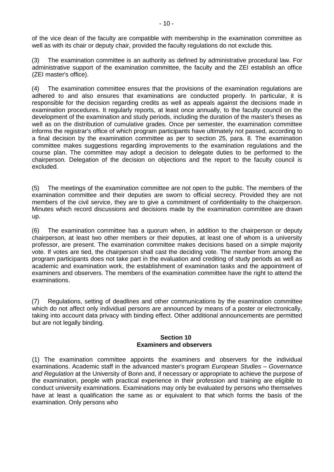of the vice dean of the faculty are compatible with membership in the examination committee as well as with its chair or deputy chair, provided the faculty regulations do not exclude this.

(3) The examination committee is an authority as defined by administrative procedural law. For administrative support of the examination committee, the faculty and the ZEI establish an office (ZEI master's office).

(4) The examination committee ensures that the provisions of the examination regulations are adhered to and also ensures that examinations are conducted properly. In particular, it is responsible for the decision regarding credits as well as appeals against the decisions made in examination procedures. It regularly reports, at least once annually, to the faculty council on the development of the examination and study periods, including the duration of the master's theses as well as on the distribution of cumulative grades. Once per semester, the examination committee informs the registrar's office of which program participants have ultimately not passed, according to a final decision by the examination committee as per to section 25, para. 8. The examination committee makes suggestions regarding improvements to the examination regulations and the course plan. The committee may adopt a decision to delegate duties to be performed to the chairperson. Delegation of the decision on objections and the report to the faculty council is excluded.

(5) The meetings of the examination committee are not open to the public. The members of the examination committee and their deputies are sworn to official secrecy. Provided they are not members of the civil service, they are to give a commitment of confidentiality to the chairperson. Minutes which record discussions and decisions made by the examination committee are drawn up.

(6) The examination committee has a quorum when, in addition to the chairperson or deputy chairperson, at least two other members or their deputies, at least one of whom is a university professor, are present. The examination committee makes decisions based on a simple majority vote. If votes are tied, the chairperson shall cast the deciding vote. The member from among the program participants does not take part in the evaluation and crediting of study periods as well as academic and examination work, the establishment of examination tasks and the appointment of examiners and observers. The members of the examination committee have the right to attend the examinations.

(7) Regulations, setting of deadlines and other communications by the examination committee which do not affect only individual persons are announced by means of a poster or electronically, taking into account data privacy with binding effect. Other additional announcements are permitted but are not legally binding.

#### **Section 10 Examiners and observers**

(1) The examination committee appoints the examiners and observers for the individual examinations. Academic staff in the advanced master's program *European Studies – Governance and Regulation* at the University of Bonn and, if necessary or appropriate to achieve the purpose of the examination, people with practical experience in their profession and training are eligible to conduct university examinations. Examinations may only be evaluated by persons who themselves have at least a qualification the same as or equivalent to that which forms the basis of the examination. Only persons who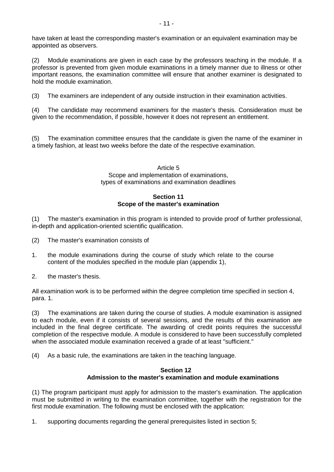have taken at least the corresponding master's examination or an equivalent examination may be appointed as observers.

(2) Module examinations are given in each case by the professors teaching in the module. If a professor is prevented from given module examinations in a timely manner due to illness or other important reasons, the examination committee will ensure that another examiner is designated to hold the module examination.

(3) The examiners are independent of any outside instruction in their examination activities.

(4) The candidate may recommend examiners for the master's thesis. Consideration must be given to the recommendation, if possible, however it does not represent an entitlement.

(5) The examination committee ensures that the candidate is given the name of the examiner in a timely fashion, at least two weeks before the date of the respective examination.

#### Article 5 Scope and implementation of examinations, types of examinations and examination deadlines

# **Section 11 Scope of the master's examination**

(1) The master's examination in this program is intended to provide proof of further professional, in-depth and application-oriented scientific qualification.

- (2) The master's examination consists of
- 1. the module examinations during the course of study which relate to the course content of the modules specified in the module plan (appendix 1),
- 2. the master's thesis.

All examination work is to be performed within the degree completion time specified in section 4, para. 1.

(3) The examinations are taken during the course of studies. A module examination is assigned to each module, even if it consists of several sessions, and the results of this examination are included in the final degree certificate. The awarding of credit points requires the successful completion of the respective module. A module is considered to have been successfully completed when the associated module examination received a grade of at least "sufficient."

(4) As a basic rule, the examinations are taken in the teaching language.

#### **Section 12 Admission to the master's examination and module examinations**

(1) The program participant must apply for admission to the master's examination. The application must be submitted in writing to the examination committee, together with the registration for the first module examination. The following must be enclosed with the application:

1. supporting documents regarding the general prerequisites listed in section 5;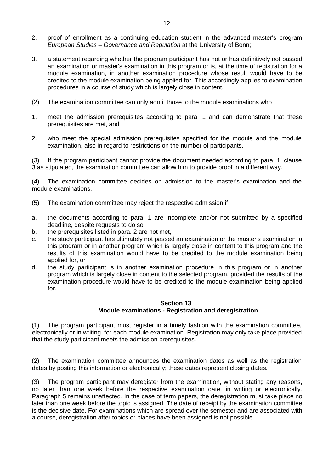- 2. proof of enrollment as a continuing education student in the advanced master's program *European Studies – Governance and Regulation* at the University of Bonn;
- 3. a statement regarding whether the program participant has not or has definitively not passed an examination or master's examination in this program or is, at the time of registration for a module examination, in another examination procedure whose result would have to be credited to the module examination being applied for. This accordingly applies to examination procedures in a course of study which is largely close in content.
- (2) The examination committee can only admit those to the module examinations who
- 1. meet the admission prerequisites according to para. 1 and can demonstrate that these prerequisites are met, and
- 2. who meet the special admission prerequisites specified for the module and the module examination, also in regard to restrictions on the number of participants.

(3) If the program participant cannot provide the document needed according to para. 1, clause 3 as stipulated, the examination committee can allow him to provide proof in a different way.

(4) The examination committee decides on admission to the master's examination and the module examinations.

- (5) The examination committee may reject the respective admission if
- a. the documents according to para. 1 are incomplete and/or not submitted by a specified deadline, despite requests to do so,
- b. the prerequisites listed in para. 2 are not met,
- c. the study participant has ultimately not passed an examination or the master's examination in this program or in another program which is largely close in content to this program and the results of this examination would have to be credited to the module examination being applied for, or
- d. the study participant is in another examination procedure in this program or in another program which is largely close in content to the selected program, provided the results of the examination procedure would have to be credited to the module examination being applied for.

### **Section 13 Module examinations - Registration and deregistration**

(1) The program participant must register in a timely fashion with the examination committee, electronically or in writing, for each module examination. Registration may only take place provided that the study participant meets the admission prerequisites.

(2) The examination committee announces the examination dates as well as the registration dates by posting this information or electronically; these dates represent closing dates.

(3) The program participant may deregister from the examination, without stating any reasons, no later than one week before the respective examination date, in writing or electronically. Paragraph 5 remains unaffected. In the case of term papers, the deregistration must take place no later than one week before the topic is assigned. The date of receipt by the examination committee is the decisive date. For examinations which are spread over the semester and are associated with a course, deregistration after topics or places have been assigned is not possible.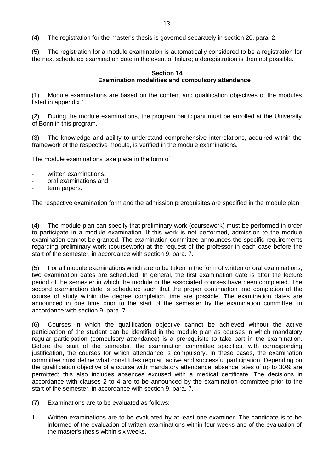(4) The registration for the master's thesis is governed separately in section 20, para. 2.

(5) The registration for a module examination is automatically considered to be a registration for the next scheduled examination date in the event of failure; a deregistration is then not possible.

#### **Section 14 Examination modalities and compulsory attendance**

(1) Module examinations are based on the content and qualification objectives of the modules listed in appendix 1.

(2) During the module examinations, the program participant must be enrolled at the University of Bonn in this program.

(3) The knowledge and ability to understand comprehensive interrelations, acquired within the framework of the respective module, is verified in the module examinations.

The module examinations take place in the form of

- written examinations,
- oral examinations and
- term papers.

The respective examination form and the admission prerequisites are specified in the module plan.

(4) The module plan can specify that preliminary work (coursework) must be performed in order to participate in a module examination. If this work is not performed, admission to the module examination cannot be granted. The examination committee announces the specific requirements regarding preliminary work (coursework) at the request of the professor in each case before the start of the semester, in accordance with section 9, para. 7.

(5) For all module examinations which are to be taken in the form of written or oral examinations, two examination dates are scheduled. In general, the first examination date is after the lecture period of the semester in which the module or the associated courses have been completed. The second examination date is scheduled such that the proper continuation and completion of the course of study within the degree completion time are possible. The examination dates are announced in due time prior to the start of the semester by the examination committee, in accordance with section 9, para. 7.

(6) Courses in which the qualification objective cannot be achieved without the active participation of the student can be identified in the module plan as courses in which mandatory regular participation (compulsory attendance) is a prerequisite to take part in the examination. Before the start of the semester, the examination committee specifies, with corresponding justification, the courses for which attendance is compulsory. In these cases, the examination committee must define what constitutes regular, active and successful participation. Depending on the qualification objective of a course with mandatory attendance, absence rates of up to 30% are permitted; this also includes absences excused with a medical certificate. The decisions in accordance with clauses 2 to 4 are to be announced by the examination committee prior to the start of the semester, in accordance with section 9, para. 7.

- (7) Examinations are to be evaluated as follows:
- 1. Written examinations are to be evaluated by at least one examiner. The candidate is to be informed of the evaluation of written examinations within four weeks and of the evaluation of the master's thesis within six weeks.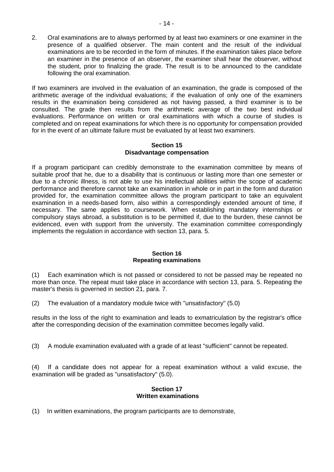2. Oral examinations are to always performed by at least two examiners or one examiner in the presence of a qualified observer. The main content and the result of the individual examinations are to be recorded in the form of minutes. If the examination takes place before an examiner in the presence of an observer, the examiner shall hear the observer, without the student, prior to finalizing the grade. The result is to be announced to the candidate following the oral examination.

If two examiners are involved in the evaluation of an examination, the grade is composed of the arithmetic average of the individual evaluations; if the evaluation of only one of the examiners results in the examination being considered as not having passed, a third examiner is to be consulted. The grade then results from the arithmetic average of the two best individual evaluations. Performance on written or oral examinations with which a course of studies is completed and on repeat examinations for which there is no opportunity for compensation provided for in the event of an ultimate failure must be evaluated by at least two examiners.

#### **Section 15 Disadvantage compensation**

If a program participant can credibly demonstrate to the examination committee by means of suitable proof that he, due to a disability that is continuous or lasting more than one semester or due to a chronic illness, is not able to use his intellectual abilities within the scope of academic performance and therefore cannot take an examination in whole or in part in the form and duration provided for, the examination committee allows the program participant to take an equivalent examination in a needs-based form, also within a correspondingly extended amount of time, if necessary. The same applies to coursework. When establishing mandatory internships or compulsory stays abroad, a substitution is to be permitted if, due to the burden, these cannot be evidenced, even with support from the university. The examination committee correspondingly implements the regulation in accordance with section 13, para. 5.

#### **Section 16 Repeating examinations**

(1) Each examination which is not passed or considered to not be passed may be repeated no more than once. The repeat must take place in accordance with section 13, para. 5. Repeating the master's thesis is governed in section 21, para. 7.

(2) The evaluation of a mandatory module twice with "unsatisfactory" (5.0)

results in the loss of the right to examination and leads to exmatriculation by the registrar's office after the corresponding decision of the examination committee becomes legally valid.

(3) A module examination evaluated with a grade of at least "sufficient" cannot be repeated.

(4) If a candidate does not appear for a repeat examination without a valid excuse, the examination will be graded as "unsatisfactory" (5.0).

### **Section 17 Written examinations**

(1) In written examinations, the program participants are to demonstrate,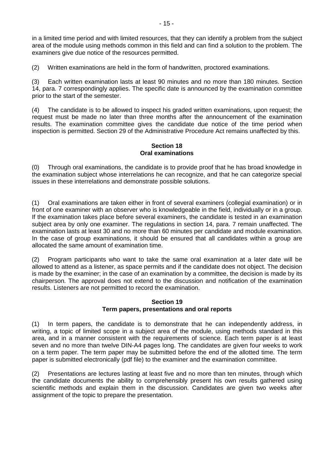in a limited time period and with limited resources, that they can identify a problem from the subject area of the module using methods common in this field and can find a solution to the problem. The examiners give due notice of the resources permitted.

(2) Written examinations are held in the form of handwritten, proctored examinations.

(3) Each written examination lasts at least 90 minutes and no more than 180 minutes. Section 14, para. 7 correspondingly applies. The specific date is announced by the examination committee prior to the start of the semester.

(4) The candidate is to be allowed to inspect his graded written examinations, upon request; the request must be made no later than three months after the announcement of the examination results. The examination committee gives the candidate due notice of the time period when inspection is permitted. Section 29 of the Administrative Procedure Act remains unaffected by this.

#### **Section 18 Oral examinations**

(0) Through oral examinations, the candidate is to provide proof that he has broad knowledge in the examination subject whose interrelations he can recognize, and that he can categorize special issues in these interrelations and demonstrate possible solutions.

(1) Oral examinations are taken either in front of several examiners (collegial examination) or in front of one examiner with an observer who is knowledgeable in the field, individually or in a group. If the examination takes place before several examiners, the candidate is tested in an examination subject area by only one examiner. The regulations in section 14, para. 7 remain unaffected. The examination lasts at least 30 and no more than 60 minutes per candidate and module examination. In the case of group examinations, it should be ensured that all candidates within a group are allocated the same amount of examination time.

(2) Program participants who want to take the same oral examination at a later date will be allowed to attend as a listener, as space permits and if the candidate does not object. The decision is made by the examiner; in the case of an examination by a committee, the decision is made by its chairperson. The approval does not extend to the discussion and notification of the examination results. Listeners are not permitted to record the examination.

#### **Section 19 Term papers, presentations and oral reports**

(1) In term papers, the candidate is to demonstrate that he can independently address, in writing, a topic of limited scope in a subject area of the module, using methods standard in this area, and in a manner consistent with the requirements of science. Each term paper is at least seven and no more than twelve DIN-A4 pages long. The candidates are given four weeks to work on a term paper. The term paper may be submitted before the end of the allotted time. The term paper is submitted electronically (pdf file) to the examiner and the examination committee.

(2) Presentations are lectures lasting at least five and no more than ten minutes, through which the candidate documents the ability to comprehensibly present his own results gathered using scientific methods and explain them in the discussion. Candidates are given two weeks after assignment of the topic to prepare the presentation.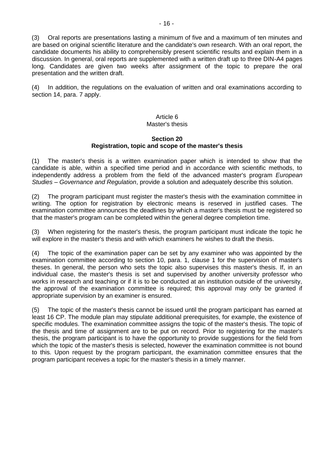(3) Oral reports are presentations lasting a minimum of five and a maximum of ten minutes and are based on original scientific literature and the candidate's own research. With an oral report, the candidate documents his ability to comprehensibly present scientific results and explain them in a discussion. In general, oral reports are supplemented with a written draft up to three DIN-A4 pages long. Candidates are given two weeks after assignment of the topic to prepare the oral presentation and the written draft.

(4) In addition, the regulations on the evaluation of written and oral examinations according to section 14, para. 7 apply.

#### Article 6 Master's thesis

#### **Section 20 Registration, topic and scope of the master's thesis**

(1) The master's thesis is a written examination paper which is intended to show that the candidate is able, within a specified time period and in accordance with scientific methods, to independently address a problem from the field of the advanced master's program *European Studies – Governance and Regulation*, provide a solution and adequately describe this solution.

(2) The program participant must register the master's thesis with the examination committee in writing. The option for registration by electronic means is reserved in justified cases. The examination committee announces the deadlines by which a master's thesis must be registered so that the master's program can be completed within the general degree completion time.

(3) When registering for the master's thesis, the program participant must indicate the topic he will explore in the master's thesis and with which examiners he wishes to draft the thesis.

(4) The topic of the examination paper can be set by any examiner who was appointed by the examination committee according to section 10, para. 1, clause 1 for the supervision of master's theses. In general, the person who sets the topic also supervises this master's thesis. If, in an individual case, the master's thesis is set and supervised by another university professor who works in research and teaching or if it is to be conducted at an institution outside of the university, the approval of the examination committee is required; this approval may only be granted if appropriate supervision by an examiner is ensured.

(5) The topic of the master's thesis cannot be issued until the program participant has earned at least 16 CP. The module plan may stipulate additional prerequisites, for example, the existence of specific modules. The examination committee assigns the topic of the master's thesis. The topic of the thesis and time of assignment are to be put on record. Prior to registering for the master's thesis, the program participant is to have the opportunity to provide suggestions for the field from which the topic of the master's thesis is selected, however the examination committee is not bound to this. Upon request by the program participant, the examination committee ensures that the program participant receives a topic for the master's thesis in a timely manner.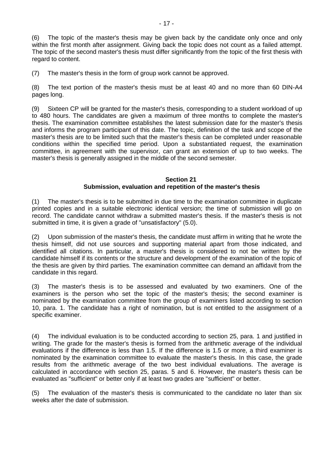(6) The topic of the master's thesis may be given back by the candidate only once and only within the first month after assignment. Giving back the topic does not count as a failed attempt. The topic of the second master's thesis must differ significantly from the topic of the first thesis with regard to content.

(7) The master's thesis in the form of group work cannot be approved.

(8) The text portion of the master's thesis must be at least 40 and no more than 60 DIN-A4 pages long.

(9) Sixteen CP will be granted for the master's thesis, corresponding to a student workload of up to 480 hours. The candidates are given a maximum of three months to complete the master's thesis. The examination committee establishes the latest submission date for the master's thesis and informs the program participant of this date. The topic, definition of the task and scope of the master's thesis are to be limited such that the master's thesis can be completed under reasonable conditions within the specified time period. Upon a substantiated request, the examination committee, in agreement with the supervisor, can grant an extension of up to two weeks. The master's thesis is generally assigned in the middle of the second semester.

#### **Section 21 Submission, evaluation and repetition of the master's thesis**

(1) The master's thesis is to be submitted in due time to the examination committee in duplicate printed copies and in a suitable electronic identical version; the time of submission will go on record. The candidate cannot withdraw a submitted master's thesis. If the master's thesis is not submitted in time, it is given a grade of "unsatisfactory" (5.0).

(2) Upon submission of the master's thesis, the candidate must affirm in writing that he wrote the thesis himself, did not use sources and supporting material apart from those indicated, and identified all citations. In particular, a master's thesis is considered to not be written by the candidate himself if its contents or the structure and development of the examination of the topic of the thesis are given by third parties. The examination committee can demand an affidavit from the candidate in this regard.

(3) The master's thesis is to be assessed and evaluated by two examiners. One of the examiners is the person who set the topic of the master's thesis; the second examiner is nominated by the examination committee from the group of examiners listed according to section 10, para. 1. The candidate has a right of nomination, but is not entitled to the assignment of a specific examiner.

(4) The individual evaluation is to be conducted according to section 25, para. 1 and justified in writing. The grade for the master's thesis is formed from the arithmetic average of the individual evaluations if the difference is less than 1.5. If the difference is 1.5 or more, a third examiner is nominated by the examination committee to evaluate the master's thesis. In this case, the grade results from the arithmetic average of the two best individual evaluations. The average is calculated in accordance with section 25, paras. 5 and 6. However, the master's thesis can be evaluated as "sufficient" or better only if at least two grades are "sufficient" or better.

(5) The evaluation of the master's thesis is communicated to the candidate no later than six weeks after the date of submission.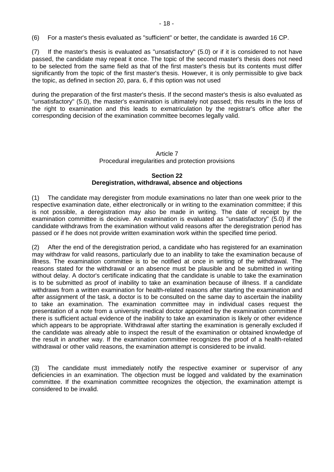(6) For a master's thesis evaluated as "sufficient" or better, the candidate is awarded 16 CP.

(7) If the master's thesis is evaluated as "unsatisfactory" (5.0) or if it is considered to not have passed, the candidate may repeat it once. The topic of the second master's thesis does not need to be selected from the same field as that of the first master's thesis but its contents must differ significantly from the topic of the first master's thesis. However, it is only permissible to give back the topic, as defined in section 20, para. 6, if this option was not used

during the preparation of the first master's thesis. If the second master's thesis is also evaluated as "unsatisfactory" (5.0), the master's examination is ultimately not passed; this results in the loss of the right to examination and this leads to exmatriculation by the registrar's office after the corresponding decision of the examination committee becomes legally valid.

# Article 7 Procedural irregularities and protection provisions

#### **Section 22 Deregistration, withdrawal, absence and objections**

(1) The candidate may deregister from module examinations no later than one week prior to the respective examination date, either electronically or in writing to the examination committee; if this is not possible, a deregistration may also be made in writing. The date of receipt by the examination committee is decisive. An examination is evaluated as "unsatisfactory" (5.0) if the candidate withdraws from the examination without valid reasons after the deregistration period has passed or if he does not provide written examination work within the specified time period.

(2) After the end of the deregistration period, a candidate who has registered for an examination may withdraw for valid reasons, particularly due to an inability to take the examination because of illness. The examination committee is to be notified at once in writing of the withdrawal. The reasons stated for the withdrawal or an absence must be plausible and be submitted in writing without delay. A doctor's certificate indicating that the candidate is unable to take the examination is to be submitted as proof of inability to take an examination because of illness. If a candidate withdraws from a written examination for health-related reasons after starting the examination and after assignment of the task, a doctor is to be consulted on the same day to ascertain the inability to take an examination. The examination committee may in individual cases request the presentation of a note from a university medical doctor appointed by the examination committee if there is sufficient actual evidence of the inability to take an examination is likely or other evidence which appears to be appropriate. Withdrawal after starting the examination is generally excluded if the candidate was already able to inspect the result of the examination or obtained knowledge of the result in another way. If the examination committee recognizes the proof of a health-related withdrawal or other valid reasons, the examination attempt is considered to be invalid.

(3) The candidate must immediately notify the respective examiner or supervisor of any deficiencies in an examination. The objection must be logged and validated by the examination committee. If the examination committee recognizes the objection, the examination attempt is considered to be invalid.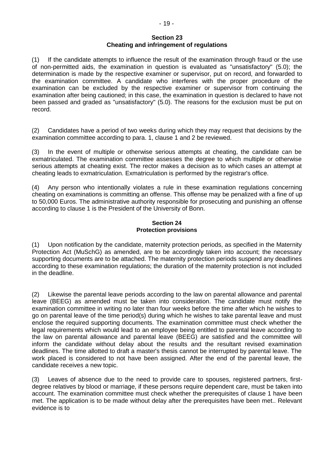(1) If the candidate attempts to influence the result of the examination through fraud or the use of non-permitted aids, the examination in question is evaluated as "unsatisfactory" (5.0); the determination is made by the respective examiner or supervisor, put on record, and forwarded to the examination committee. A candidate who interferes with the proper procedure of the examination can be excluded by the respective examiner or supervisor from continuing the examination after being cautioned; in this case, the examination in question is declared to have not been passed and graded as "unsatisfactory" (5.0). The reasons for the exclusion must be put on record.

(2) Candidates have a period of two weeks during which they may request that decisions by the examination committee according to para. 1, clause 1 and 2 be reviewed.

(3) In the event of multiple or otherwise serious attempts at cheating, the candidate can be exmatriculated. The examination committee assesses the degree to which multiple or otherwise serious attempts at cheating exist. The rector makes a decision as to which cases an attempt at cheating leads to exmatriculation. Exmatriculation is performed by the registrar's office.

(4) Any person who intentionally violates a rule in these examination regulations concerning cheating on examinations is committing an offense. This offense may be penalized with a fine of up to 50,000 Euros. The administrative authority responsible for prosecuting and punishing an offense according to clause 1 is the President of the University of Bonn.

#### **Section 24 Protection provisions**

(1) Upon notification by the candidate, maternity protection periods, as specified in the Maternity Protection Act (MuSchG) as amended, are to be accordingly taken into account; the necessary supporting documents are to be attached. The maternity protection periods suspend any deadlines according to these examination regulations; the duration of the maternity protection is not included in the deadline.

(2) Likewise the parental leave periods according to the law on parental allowance and parental leave (BEEG) as amended must be taken into consideration. The candidate must notify the examination committee in writing no later than four weeks before the time after which he wishes to go on parental leave of the time period(s) during which he wishes to take parental leave and must enclose the required supporting documents. The examination committee must check whether the legal requirements which would lead to an employee being entitled to parental leave according to the law on parental allowance and parental leave (BEEG) are satisfied and the committee will inform the candidate without delay about the results and the resultant revised examination deadlines. The time allotted to draft a master's thesis cannot be interrupted by parental leave. The work placed is considered to not have been assigned. After the end of the parental leave, the candidate receives a new topic.

(3) Leaves of absence due to the need to provide care to spouses, registered partners, firstdegree relatives by blood or marriage, if these persons require dependent care, must be taken into account. The examination committee must check whether the prerequisites of clause 1 have been met. The application is to be made without delay after the prerequisites have been met.. Relevant evidence is to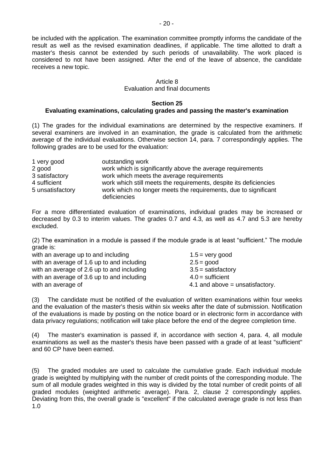be included with the application. The examination committee promptly informs the candidate of the result as well as the revised examination deadlines, if applicable. The time allotted to draft a master's thesis cannot be extended by such periods of unavailability. The work placed is considered to not have been assigned. After the end of the leave of absence, the candidate receives a new topic.

# Article 8

#### Evaluation and final documents

#### **Section 25**

#### **Evaluating examinations, calculating grades and passing the master's examination**

(1) The grades for the individual examinations are determined by the respective examiners. If several examiners are involved in an examination, the grade is calculated from the arithmetic average of the individual evaluations. Otherwise section 14, para. 7 correspondingly applies. The following grades are to be used for the evaluation:

| 1 very good      | outstanding work                                                                |
|------------------|---------------------------------------------------------------------------------|
| 2 good           | work which is significantly above the average requirements                      |
| 3 satisfactory   | work which meets the average requirements                                       |
| 4 sufficient     | work which still meets the requirements, despite its deficiencies               |
| 5 unsatisfactory | work which no longer meets the requirements, due to significant<br>deficiencies |

For a more differentiated evaluation of examinations, individual grades may be increased or decreased by 0.3 to interim values. The grades 0.7 and 4.3, as well as 4.7 and 5.3 are hereby excluded.

(2) The examination in a module is passed if the module grade is at least "sufficient." The module grade is:

| $1.5 =$ very good                 |
|-----------------------------------|
| $2.5 = good$                      |
| $3.5 =$ satisfactory              |
| $4.0 =$ sufficient                |
| 4.1 and above $=$ unsatisfactory. |
|                                   |

(3) The candidate must be notified of the evaluation of written examinations within four weeks and the evaluation of the master's thesis within six weeks after the date of submission. Notification of the evaluations is made by posting on the notice board or in electronic form in accordance with data privacy regulations; notification will take place before the end of the degree completion time.

(4) The master's examination is passed if, in accordance with section 4, para. 4, all module examinations as well as the master's thesis have been passed with a grade of at least "sufficient" and 60 CP have been earned.

(5) The graded modules are used to calculate the cumulative grade. Each individual module grade is weighted by multiplying with the number of credit points of the corresponding module. The sum of all module grades weighted in this way is divided by the total number of credit points of all graded modules (weighted arithmetic average). Para. 2, clause 2 correspondingly applies. Deviating from this, the overall grade is "excellent" if the calculated average grade is not less than 1.0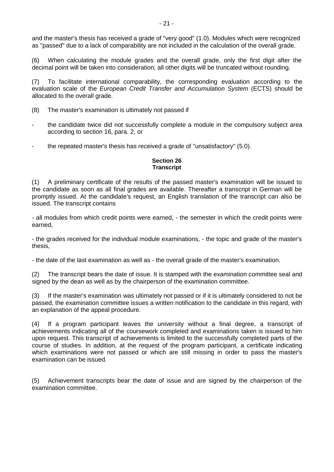and the master's thesis has received a grade of "very good" (1.0). Modules which were recognized as "passed" due to a lack of comparability are not included in the calculation of the overall grade.

(6) When calculating the module grades and the overall grade, only the first digit after the decimal point will be taken into consideration; all other digits will be truncated without rounding.

(7) To facilitate international comparability, the corresponding evaluation according to the evaluation scale of the *European Credit Transfer and Accumulation System* (ECTS) should be allocated to the overall grade.

- (8) The master's examination is ultimately not passed if
- the candidate twice did not successfully complete a module in the compulsory subject area according to section 16, para. 2, or
- the repeated master's thesis has received a grade of "unsatisfactory" (5.0).

# **Section 26 Transcript**

(1) A preliminary certificate of the results of the passed master's examination will be issued to the candidate as soon as all final grades are available. Thereafter a transcript in German will be promptly issued. At the candidate's request, an English translation of the transcript can also be issued. The transcript contains

- all modules from which credit points were earned, - the semester in which the credit points were earned,

- the grades received for the individual module examinations, - the topic and grade of the master's thesis,

- the date of the last examination as well as - the overall grade of the master's examination.

(2) The transcript bears the date of issue. It is stamped with the examination committee seal and signed by the dean as well as by the chairperson of the examination committee.

(3) If the master's examination was ultimately not passed or if it is ultimately considered to not be passed, the examination committee issues a written notification to the candidate in this regard, with an explanation of the appeal procedure.

(4) If a program participant leaves the university without a final degree, a transcript of achievements indicating all of the coursework completed and examinations taken is issued to him upon request. This transcript of achievements is limited to the successfully completed parts of the course of studies. In addition, at the request of the program participant, a certificate indicating which examinations were not passed or which are still missing in order to pass the master's examination can be issued.

(5) Achievement transcripts bear the date of issue and are signed by the chairperson of the examination committee.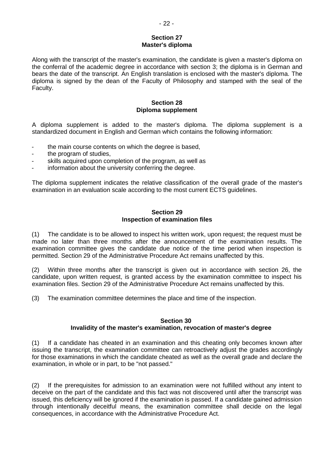#### **Section 27 Master's diploma**

Along with the transcript of the master's examination, the candidate is given a master's diploma on the conferral of the academic degree in accordance with section 3; the diploma is in German and bears the date of the transcript. An English translation is enclosed with the master's diploma. The diploma is signed by the dean of the Faculty of Philosophy and stamped with the seal of the Faculty.

#### **Section 28 Diploma supplement**

A diploma supplement is added to the master's diploma. The diploma supplement is a standardized document in English and German which contains the following information:

- the main course contents on which the degree is based.
- the program of studies,
- skills acquired upon completion of the program, as well as
- information about the university conferring the degree.

The diploma supplement indicates the relative classification of the overall grade of the master's examination in an evaluation scale according to the most current ECTS guidelines.

#### **Section 29 Inspection of examination files**

(1) The candidate is to be allowed to inspect his written work, upon request; the request must be made no later than three months after the announcement of the examination results. The examination committee gives the candidate due notice of the time period when inspection is permitted. Section 29 of the Administrative Procedure Act remains unaffected by this.

(2) Within three months after the transcript is given out in accordance with section 26, the candidate, upon written request, is granted access by the examination committee to inspect his examination files. Section 29 of the Administrative Procedure Act remains unaffected by this.

(3) The examination committee determines the place and time of the inspection.

### **Section 30 Invalidity of the master's examination, revocation of master's degree**

(1) If a candidate has cheated in an examination and this cheating only becomes known after issuing the transcript, the examination committee can retroactively adjust the grades accordingly for those examinations in which the candidate cheated as well as the overall grade and declare the examination, in whole or in part, to be "not passed."

(2) If the prerequisites for admission to an examination were not fulfilled without any intent to deceive on the part of the candidate and this fact was not discovered until after the transcript was issued, this deficiency will be ignored if the examination is passed. If a candidate gained admission through intentionally deceitful means, the examination committee shall decide on the legal consequences, in accordance with the Administrative Procedure Act.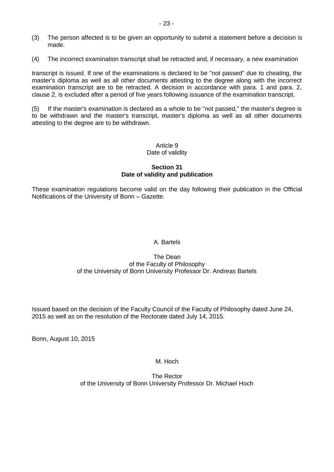- (3) The person affected is to be given an opportunity to submit a statement before a decision is made.
- (4) The incorrect examination transcript shall be retracted and, if necessary, a new examination

transcript is issued. If one of the examinations is declared to be "not passed" due to cheating, the master's diploma as well as all other documents attesting to the degree along with the incorrect examination transcript are to be retracted. A decision in accordance with para. 1 and para. 2, clause 2, is excluded after a period of five years following issuance of the examination transcript.

(5) If the master's examination is declared as a whole to be "not passed," the master's degree is to be withdrawn and the master's transcript, master's diploma as well as all other documents attesting to the degree are to be withdrawn.

### Article 9 Date of validity

### **Section 31 Date of validity and publication**

These examination regulations become valid on the day following their publication in the Official Notifications of the University of Bonn – Gazette.

# A. Bartels

#### The Dean of the Faculty of Philosophy of the University of Bonn University Professor Dr. Andreas Bartels

Issued based on the decision of the Faculty Council of the Faculty of Philosophy dated June 24, 2015 as well as on the resolution of the Rectorate dated July 14, 2015.

Bonn, August 10, 2015

# M. Hoch

The Rector of the University of Bonn University Professor Dr. Michael Hoch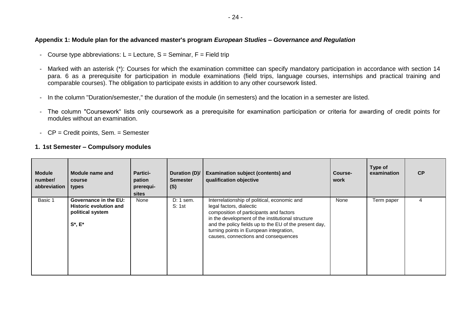#### **Appendix 1: Module plan for the advanced master's program** *European Studies – Governance and Regulation*

- Course type abbreviations:  $L =$  Lecture,  $S =$  Seminar,  $F =$  Field trip
- Marked with an asterisk (\*): Courses for which the examination committee can specify mandatory participation in accordance with section 14 para. 6 as a prerequisite for participation in module examinations (field trips, language courses, internships and practical training and comparable courses). The obligation to participate exists in addition to any other coursework listed.
- In the column "Duration/semester," the duration of the module (in semesters) and the location in a semester are listed.
- The column "Coursework" lists only coursework as a prerequisite for examination participation or criteria for awarding of credit points for modules without an examination.
- CP = Credit points, Sem. = Semester

#### **1. 1st Semester – Compulsory modules**

| <b>Module</b><br>number/<br>abbreviation types | Module name and<br>course                                                                   | <b>Partici-</b><br>pation<br>prerequi-<br>sites | Duration (D)/<br><b>Semester</b><br>(S) | <b>Examination subject (contents) and</b><br>qualification objective                                                                                                                                                                                                                                                  | Course-<br>work | Type of<br>examination | CP |
|------------------------------------------------|---------------------------------------------------------------------------------------------|-------------------------------------------------|-----------------------------------------|-----------------------------------------------------------------------------------------------------------------------------------------------------------------------------------------------------------------------------------------------------------------------------------------------------------------------|-----------------|------------------------|----|
| Basic 1                                        | Governance in the EU:<br><b>Historic evolution and</b><br>political system<br>$S^*$ , $E^*$ | None                                            | $D: 1$ sem.<br>S: 1st                   | Interrelationship of political, economic and<br>legal factors, dialectic<br>composition of participants and factors<br>in the development of the institutional structure<br>and the policy fields up to the EU of the present day,<br>turning points in European integration,<br>causes, connections and consequences | None            | Term paper             |    |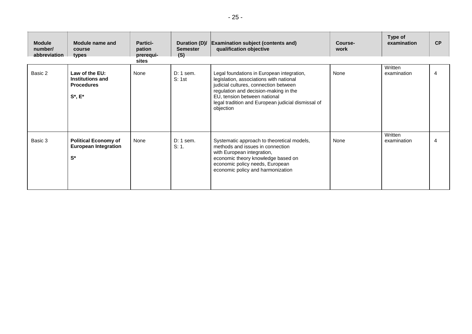| <b>Module</b><br>number/<br>abbreviation | Module name and<br>course<br>types                                       | Partici-<br>pation<br>prerequi-<br>sites | Duration (D)/<br><b>Semester</b><br>(S) | <b>Examination subject (contents and)</b><br>qualification objective                                                                                                                                                                                                       | Course-<br>work | Type of<br>examination | <b>CP</b> |
|------------------------------------------|--------------------------------------------------------------------------|------------------------------------------|-----------------------------------------|----------------------------------------------------------------------------------------------------------------------------------------------------------------------------------------------------------------------------------------------------------------------------|-----------------|------------------------|-----------|
| Basic 2                                  | Law of the EU:<br>Institutions and<br><b>Procedures</b><br>$S^*$ , $E^*$ | None                                     | $D: 1$ sem.<br>S: 1st                   | Legal foundations in European integration,<br>legislation, associations with national<br>judicial cultures, connection between<br>regulation and decision-making in the<br>EU, tension between national<br>legal tradition and European judicial dismissal of<br>objection | None            | Written<br>examination | 4         |
| Basic 3                                  | <b>Political Economy of</b><br><b>European Integration</b><br>$S^*$      | None                                     | D: 1 sem.<br>S: 1.                      | Systematic approach to theoretical models,<br>methods and issues in connection<br>with European integration,<br>economic theory knowledge based on<br>economic policy needs, European<br>economic policy and harmonization                                                 | None            | Written<br>examination | 4         |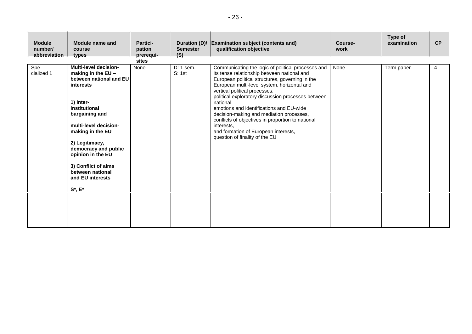| <b>Module</b><br>number/<br>abbreviation | Module name and<br>course<br>types                                                                                                                                                                                                                                                                                                     | <b>Partici-</b><br>pation<br>prerequi- | Duration (D)/<br><b>Semester</b><br>(S) | <b>Examination subject (contents and)</b><br>qualification objective                                                                                                                                                                                                                                                                                                                                                                                                                                                                        | Course-<br>work | Type of<br>examination | CP |
|------------------------------------------|----------------------------------------------------------------------------------------------------------------------------------------------------------------------------------------------------------------------------------------------------------------------------------------------------------------------------------------|----------------------------------------|-----------------------------------------|---------------------------------------------------------------------------------------------------------------------------------------------------------------------------------------------------------------------------------------------------------------------------------------------------------------------------------------------------------------------------------------------------------------------------------------------------------------------------------------------------------------------------------------------|-----------------|------------------------|----|
| Spe-<br>cialized 1                       | <b>Multi-level decision-</b><br>making in the EU -<br>between national and EU<br>interests<br>1) Inter-<br>institutional<br>bargaining and<br>multi-level decision-<br>making in the EU<br>2) Legitimacy,<br>democracy and public<br>opinion in the EU<br>3) Conflict of aims<br>between national<br>and EU interests<br>$S^*$ , $E^*$ | sites<br>None                          | $D: 1$ sem.<br>S: 1st                   | Communicating the logic of political processes and<br>its tense relationship between national and<br>European political structures, governing in the<br>European multi-level system, horizontal and<br>vertical political processes,<br>political exploratory discussion processes between<br>national<br>emotions and identifications and EU-wide<br>decision-making and mediation processes,<br>conflicts of objectives in proportion to national<br>interests.<br>and formation of European interests,<br>question of finality of the EU | None            | Term paper             | 4  |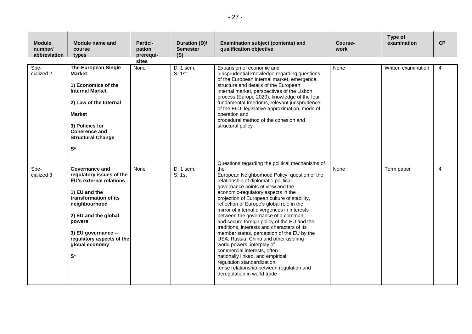| <b>Module</b><br>number/<br>abbreviation | Module name and<br>course<br>types                                                                                                                                                                                                                              | Partici-<br>pation<br>prerequi-<br>sites | Duration (D)/<br><b>Semester</b><br>(S) | <b>Examination subject (contents) and</b><br>qualification objective                                                                                                                                                                                                                                                                                                                                                                                                                                                                                                                                                                                                                                                                                                                                          | Course-<br>work | Type of<br>examination | <b>CP</b>              |
|------------------------------------------|-----------------------------------------------------------------------------------------------------------------------------------------------------------------------------------------------------------------------------------------------------------------|------------------------------------------|-----------------------------------------|---------------------------------------------------------------------------------------------------------------------------------------------------------------------------------------------------------------------------------------------------------------------------------------------------------------------------------------------------------------------------------------------------------------------------------------------------------------------------------------------------------------------------------------------------------------------------------------------------------------------------------------------------------------------------------------------------------------------------------------------------------------------------------------------------------------|-----------------|------------------------|------------------------|
| Spe-<br>cialized 2                       | <b>The European Single</b><br><b>Market</b><br>1) Economics of the<br><b>Internal Market</b><br>2) Law of the Internal<br><b>Market</b><br>3) Policies for<br>Coherence and<br><b>Structural Change</b><br>$\mathbf{S}^{\star}$                                 | None                                     | $D: 1$ sem.<br>S: 1st                   | Expansion of economic and<br>jurisprudential knowledge regarding questions<br>of the European internal market, emergence,<br>structure and details of the European<br>internal market, perspectives of the Lisbon<br>process (Europe 2020), knowledge of the four<br>fundamental freedoms, relevant jurisprudence<br>of the ECJ, legislative approximation, mode of<br>operation and<br>procedural method of the cohesion and<br>structural policy                                                                                                                                                                                                                                                                                                                                                            | None            | Written examination    | $\overline{4}$         |
| Spe-<br>cialized 3                       | Governance and<br>regulatory issues of the<br>EU's external relations<br>1) EU and the<br>transformation of its<br>neighbourhood<br>2) EU and the global<br>powers<br>3) EU governance -<br>regulatory aspects of the<br>global economy<br>$\mathbf{S}^{\star}$ | None                                     | $D: 1$ sem.<br>S: 1st                   | Questions regarding the political mechanisms of<br>the<br>European Neighborhood Policy, question of the<br>relationship of diplomatic-political<br>governance points of view and the<br>economic-regulatory aspects in the<br>projection of European culture of stability,<br>reflection of Europe's global role in the<br>mirror of internal divergences in interests<br>between the governance of a common<br>and secure foreign policy of the EU and the<br>traditions, interests and characters of its<br>member states, perception of the EU by the<br>USA, Russia, China and other aspiring<br>world powers, interplay of<br>commercial interests, often<br>nationally linked, and empirical<br>regulation standardization,<br>tense relationship between regulation and<br>deregulation in world trade | None            | Term paper             | $\boldsymbol{\Lambda}$ |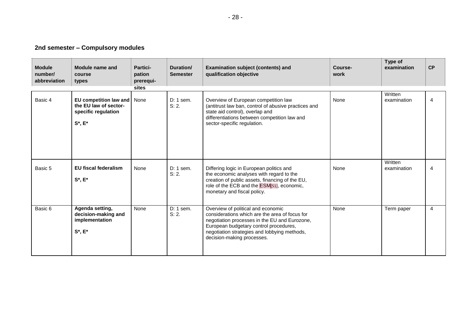# **2nd semester – Compulsory modules**

| <b>Module</b><br>number/<br>abbreviation | <b>Module name and</b><br>course<br>types                                               | Partici-<br>pation<br>prerequi-<br>sites | Duration/<br><b>Semester</b> | <b>Examination subject (contents) and</b><br>qualification objective                                                                                                                                                                                          | Course-<br>work | Type of<br>examination | CP |
|------------------------------------------|-----------------------------------------------------------------------------------------|------------------------------------------|------------------------------|---------------------------------------------------------------------------------------------------------------------------------------------------------------------------------------------------------------------------------------------------------------|-----------------|------------------------|----|
| Basic 4                                  | EU competition law and<br>the EU law of sector-<br>specific regulation<br>$S^*$ , $E^*$ | None                                     | $D: 1$ sem.<br>S: 2.         | Overview of European competition law<br>(antitrust law ban, control of abusive practices and<br>state aid control), overlap and<br>differentiations between competition law and<br>sector-specific regulation.                                                | None            | Written<br>examination | 4  |
| Basic 5                                  | <b>EU fiscal federalism</b><br>$S^*$ , $E^*$                                            | None                                     | $D: 1$ sem.<br>S: 2.         | Differing logic in European politics and<br>the economic analyses with regard to the<br>creation of public assets, financing of the EU,<br>role of the ECB and the <b>ESM</b> [S1], economic,<br>monetary and fiscal policy.                                  | None            | Written<br>examination | 4  |
| Basic 6                                  | Agenda setting,<br>decision-making and<br>implementation<br>$S^*$ , $E^*$               | None                                     | $D: 1$ sem.<br>S: 2.         | Overview of political and economic<br>considerations which are the area of focus for<br>negotiation processes in the EU and Eurozone,<br>European budgetary control procedures,<br>negotiation strategies and lobbying methods,<br>decision-making processes. | None            | Term paper             | 4  |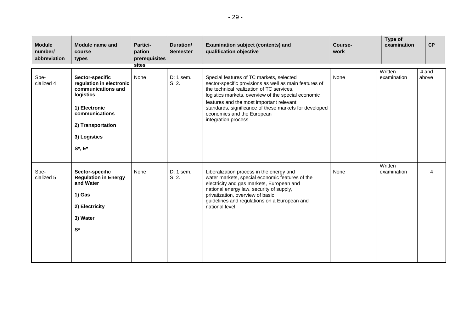| <b>Module</b><br>number/<br>abbreviation | Module name and<br>course<br>types                                                                                                                                      | Partici-<br>pation<br>prerequisites<br>sites | Duration/<br><b>Semester</b> | <b>Examination subject (contents) and</b><br>qualification objective                                                                                                                                                                                                                                                                                              | Course-<br>work | Type of<br>examination | CP             |
|------------------------------------------|-------------------------------------------------------------------------------------------------------------------------------------------------------------------------|----------------------------------------------|------------------------------|-------------------------------------------------------------------------------------------------------------------------------------------------------------------------------------------------------------------------------------------------------------------------------------------------------------------------------------------------------------------|-----------------|------------------------|----------------|
| Spe-<br>cialized 4                       | Sector-specific<br>regulation in electronic<br>communications and<br>logistics<br>1) Electronic<br>communications<br>2) Transportation<br>3) Logistics<br>$S^*$ , $E^*$ | None                                         | $D: 1$ sem.<br>S: 2.         | Special features of TC markets, selected<br>sector-specific provisions as well as main features of<br>the technical realization of TC services,<br>logistics markets, overview of the special economic<br>features and the most important relevant<br>standards, significance of these markets for developed<br>economies and the European<br>integration process | None            | Written<br>examination | 4 and<br>above |
| Spe-<br>cialized 5                       | Sector-specific<br><b>Regulation in Energy</b><br>and Water<br>1) Gas<br>2) Electricity<br>3) Water<br>$S^*$                                                            | None                                         | D: 1 sem.<br>S: 2.           | Liberalization process in the energy and<br>water markets, special economic features of the<br>electricity and gas markets, European and<br>national energy law, security of supply,<br>privatization, overview of basic<br>guidelines and regulations on a European and<br>national level.                                                                       | None            | Written<br>examination |                |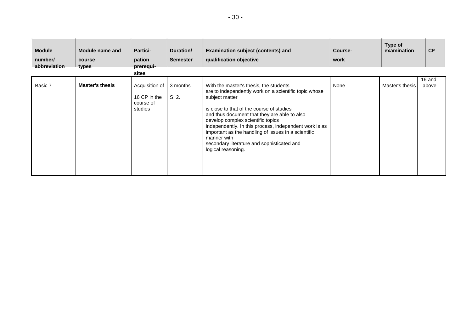| <b>Module</b><br>number/<br>abbreviation | Module name and<br>course<br>types | <b>Partici-</b><br>pation<br>prerequi-<br>sites        | Duration/<br><b>Semester</b> | <b>Examination subject (contents) and</b><br>qualification objective                                                                                                                                                                                                                                                                                                                                                                                    | Course-<br>work | Type of<br>examination | CP              |
|------------------------------------------|------------------------------------|--------------------------------------------------------|------------------------------|---------------------------------------------------------------------------------------------------------------------------------------------------------------------------------------------------------------------------------------------------------------------------------------------------------------------------------------------------------------------------------------------------------------------------------------------------------|-----------------|------------------------|-----------------|
| Basic 7                                  | <b>Master's thesis</b>             | Acquisition of<br>16 CP in the<br>course of<br>studies | 3 months<br>S: 2.            | With the master's thesis, the students<br>are to independently work on a scientific topic whose<br>subject matter<br>is close to that of the course of studies<br>and thus document that they are able to also<br>develop complex scientific topics<br>independently. In this process, independent work is as<br>important as the handling of issues in a scientific<br>manner with<br>secondary literature and sophisticated and<br>logical reasoning. | None            | Master's thesis        | 16 and<br>above |